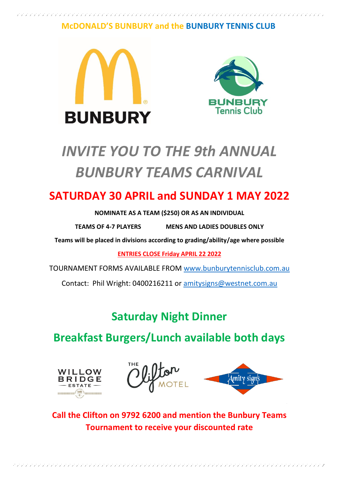## **McDONALD'S BUNBURY and the BUNBURY TENNIS CLUB**





# *INVITE YOU TO THE 9th ANNUAL BUNBURY TEAMS CARNIVAL*

## **SATURDAY 30 APRIL and SUNDAY 1 MAY 2022**

#### **NOMINATE AS A TEAM (\$250) OR AS AN INDIVIDUAL**

**TEAMS OF 4-7 PLAYERS MENS AND LADIES DOUBLES ONLY**

**Teams will be placed in divisions according to grading/ability/age where possible**

**ENTRIES CLOSE Friday APRIL 22 2022**

TOURNAMENT FORMS AVAILABLE FROM [www.bunburytennisclub.com.au](http://www.bunburytennisclub.com.au/)

Contact: Phil Wright: 0400216211 or [amitysigns@westnet.com.au](mailto:amitysigns@westnet.com.au)

**Saturday Night Dinner** 

**Breakfast Burgers/Lunch available both days**







**Call the Clifton on 9792 6200 and mention the Bunbury Teams Tournament to receive your discounted rate**